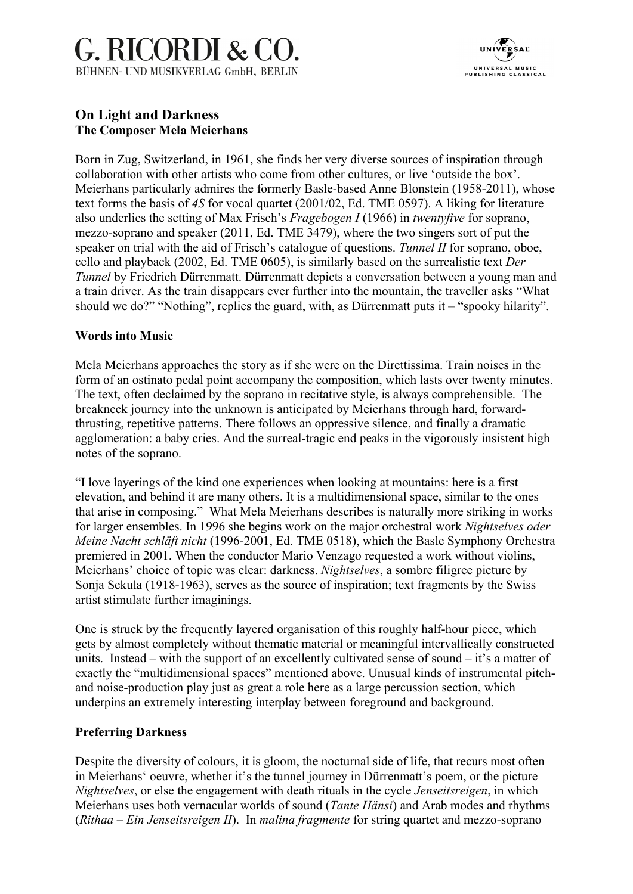## G. RICORDI & CO. BÜHNEN- UND MUSIKVERLAG GmbH, BERLIN



## **On Light and Darkness The Composer Mela Meierhans**

Born in Zug, Switzerland, in 1961, she finds her very diverse sources of inspiration through collaboration with other artists who come from other cultures, or live 'outside the box'. Meierhans particularly admires the formerly Basle-based Anne Blonstein (1958-2011), whose text forms the basis of *4S* for vocal quartet (2001/02, Ed. TME 0597). A liking for literature also underlies the setting of Max Frisch's *Fragebogen I* (1966) in *twentyfive* for soprano, mezzo-soprano and speaker (2011, Ed. TME 3479), where the two singers sort of put the speaker on trial with the aid of Frisch's catalogue of questions. *Tunnel II* for soprano, oboe, cello and playback (2002, Ed. TME 0605), is similarly based on the surrealistic text *Der Tunnel* by Friedrich Dürrenmatt. Dürrenmatt depicts a conversation between a young man and a train driver. As the train disappears ever further into the mountain, the traveller asks "What should we do?" "Nothing", replies the guard, with, as Dürrenmatt puts it – "spooky hilarity".

## **Words into Music**

Mela Meierhans approaches the story as if she were on the Direttissima. Train noises in the form of an ostinato pedal point accompany the composition, which lasts over twenty minutes. The text, often declaimed by the soprano in recitative style, is always comprehensible. The breakneck journey into the unknown is anticipated by Meierhans through hard, forwardthrusting, repetitive patterns. There follows an oppressive silence, and finally a dramatic agglomeration: a baby cries. And the surreal-tragic end peaks in the vigorously insistent high notes of the soprano.

"I love layerings of the kind one experiences when looking at mountains: here is a first elevation, and behind it are many others. It is a multidimensional space, similar to the ones that arise in composing." What Mela Meierhans describes is naturally more striking in works for larger ensembles. In 1996 she begins work on the major orchestral work *Nightselves oder Meine Nacht schläft nicht* (1996-2001, Ed. TME 0518), which the Basle Symphony Orchestra premiered in 2001. When the conductor Mario Venzago requested a work without violins, Meierhans' choice of topic was clear: darkness. *Nightselves*, a sombre filigree picture by Sonja Sekula (1918-1963), serves as the source of inspiration; text fragments by the Swiss artist stimulate further imaginings.

One is struck by the frequently layered organisation of this roughly half-hour piece, which gets by almost completely without thematic material or meaningful intervallically constructed units. Instead – with the support of an excellently cultivated sense of sound – it's a matter of exactly the "multidimensional spaces" mentioned above. Unusual kinds of instrumental pitchand noise-production play just as great a role here as a large percussion section, which underpins an extremely interesting interplay between foreground and background.

## **Preferring Darkness**

Despite the diversity of colours, it is gloom, the nocturnal side of life, that recurs most often in Meierhans' oeuvre, whether it's the tunnel journey in Dürrenmatt's poem, or the picture *Nightselves*, or else the engagement with death rituals in the cycle *Jenseitsreigen*, in which Meierhans uses both vernacular worlds of sound (*Tante Hänsi*) and Arab modes and rhythms (*Rithaa – Ein Jenseitsreigen II*). In *malina fragmente* for string quartet and mezzo-soprano